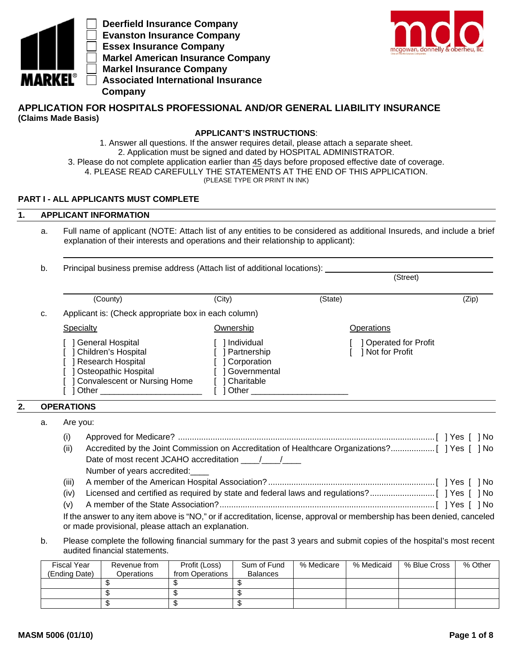

 **Deerfield Insurance Company Evanston Insurance Company Essex Insurance Company Markel American Insurance Company Markel Insurance Company Associated International Insurance Company**



## **APPLICATION FOR HOSPITALS PROFESSIONAL AND/OR GENERAL LIABILITY INSURANCE (Claims Made Basis)**

## **APPLICANT'S INSTRUCTIONS**:

1. Answer all questions. If the answer requires detail, please attach a separate sheet. 2. Application must be signed and dated by HOSPITAL ADMINISTRATOR. 3. Please do not complete application earlier than 45 days before proposed effective date of coverage. 4. PLEASE READ CAREFULLY THE STATEMENTS AT THE END OF THIS APPLICATION.

(PLEASE TYPE OR PRINT IN INK)

## **PART I - ALL APPLICANTS MUST COMPLETE**

#### **1. APPLICANT INFORMATION**

a. Full name of applicant (NOTE: Attach list of any entities to be considered as additional Insureds, and include a brief explanation of their interests and operations and their relationship to applicant):

|                                                                                                                                                                                                                                                                                                                                                                             |                                                                                 | Principal business premise address (Attach list of additional locations):<br>(Street) |       |  |
|-----------------------------------------------------------------------------------------------------------------------------------------------------------------------------------------------------------------------------------------------------------------------------------------------------------------------------------------------------------------------------|---------------------------------------------------------------------------------|---------------------------------------------------------------------------------------|-------|--|
| (County)                                                                                                                                                                                                                                                                                                                                                                    | (City)                                                                          | (State)                                                                               | (Zip) |  |
|                                                                                                                                                                                                                                                                                                                                                                             |                                                                                 |                                                                                       |       |  |
| Specialty                                                                                                                                                                                                                                                                                                                                                                   | Ownership                                                                       | Operations                                                                            |       |  |
| <b>General Hospital</b><br><b>Children's Hospital</b><br>Research Hospital<br>Osteopathic Hospital<br><b>Convalescent or Nursing Home</b><br>Other the contract of the contract of the contract of the contract of the contract of the contract of the contract of the contract of the contract of the contract of the contract of the contract of the contract of the cont | Individual<br>Partnership<br>Corporation<br>Governmental<br>Charitable<br>Other | <b>1 Operated for Profit</b><br>Mot for Profit                                        |       |  |
| <b>OPERATIONS</b>                                                                                                                                                                                                                                                                                                                                                           |                                                                                 |                                                                                       |       |  |
| Are you:                                                                                                                                                                                                                                                                                                                                                                    |                                                                                 |                                                                                       |       |  |
|                                                                                                                                                                                                                                                                                                                                                                             | (i)                                                                             | Applicant is: (Check appropriate box in each column)                                  |       |  |

- (ii) Accredited by the Joint Commission on Accreditation of Healthcare Organizations? ................... [ ] Yes [ ] No Date of most recent JCAHO accreditation  $\frac{1}{2}$  Number of years accredited:\_\_\_\_ (iii) A member of the American Hospital Association? ........................................................................ [ ] Yes [ ] No (iv) Licensed and certified as required by state and federal laws and regulations? ............................ [ ] Yes [ ] No (v) A member of the State Association? ............................................................................................. [ ] Yes [ ] No
- If the answer to any item above is "NO," or if accreditation, license, approval or membership has been denied, canceled or made provisional, please attach an explanation.
- b. Please complete the following financial summary for the past 3 years and submit copies of the hospital's most recent audited financial statements.

| <b>Fiscal Year</b><br>(Ending Date) | Revenue from<br>Operations | Profit (Loss)<br>from Operations | Sum of Fund<br><b>Balances</b> | % Medicare | % Medicaid | % Blue Cross | % Other |
|-------------------------------------|----------------------------|----------------------------------|--------------------------------|------------|------------|--------------|---------|
|                                     |                            |                                  |                                |            |            |              |         |
|                                     |                            |                                  |                                |            |            |              |         |
|                                     |                            |                                  |                                |            |            |              |         |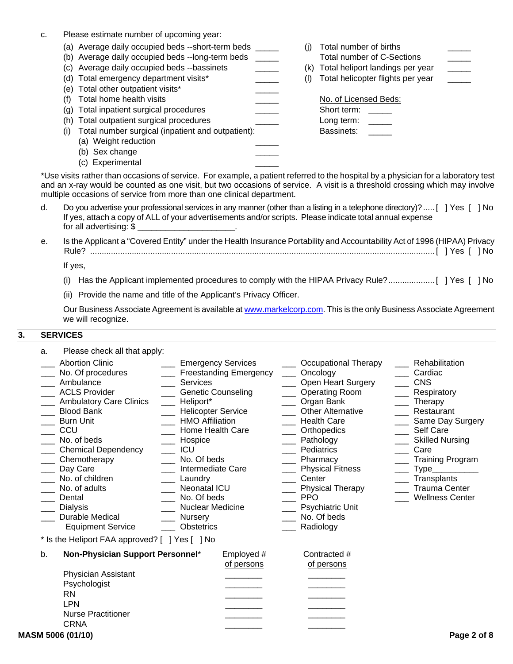|  |  |  |  |  | Please estimate number of upcoming year: |
|--|--|--|--|--|------------------------------------------|
|--|--|--|--|--|------------------------------------------|

|  | (a) Average daily occupied beds --short-term beds |  |  |  |  |
|--|---------------------------------------------------|--|--|--|--|
|--|---------------------------------------------------|--|--|--|--|

- (b) Average daily occupied beds --long-term beds \_\_\_\_\_\_ Total number of C-Sections
- (c) Average daily occupied beds --bassinets \_\_\_\_\_\_\_\_\_\_\_\_\_\_\_ (k) Total heliport landings per year
- (d) Total emergency department visits\* \_\_\_\_\_\_\_\_\_\_\_\_\_ (l) Total helicopter flights per year
- (e) Total other outpatient visits\*
- (f) Total home health visits
- (g) Total inpatient surgical procedures
- (h) Total outpatient surgical procedures
- (i) Total number surgical (inpatient and outpatient): Bassinets:
	- (a) Weight reduction
	- (b) Sex change
	- (c) Experimental \_\_\_\_\_
- (i) Total number of births
	-

| No. of Licensed Beds:    |  |
|--------------------------|--|
| Short term:              |  |
| Long term:               |  |
| $D_{\alpha\alpha\alpha}$ |  |

\*Use visits rather than occasions of service. For example, a patient referred to the hospital by a physician for a laboratory test and an x-ray would be counted as one visit, but two occasions of service. A visit is a threshold crossing which may involve multiple occasions of service from more than one clinical department.

- d. Do you advertise your professional services in any manner (other than a listing in a telephone directory)? ..... [ ] Yes [ ] No If yes, attach a copy of ALL of your advertisements and/or scripts. Please indicate total annual expense for all advertising: \$ \_\_\_\_\_\_\_\_\_\_\_\_\_\_\_\_\_\_\_\_\_.
- e. Is the Applicant a "Covered Entity" under the Health Insurance Portability and Accountability Act of 1996 (HIPAA) Privacy Rule? ..................................................................................................................................................... [ ] Yes [ ] No

If yes,

- (i) Has the Applicant implemented procedures to comply with the HIPAA Privacy Rule? .................... [ ] Yes [ ] No
- (ii) Provide the name and title of the Applicant's Privacy Officer.

Our Business Associate Agreement is available at www.markelcorp.com. This is the only Business Associate Agreement we will recognize.

#### **3. SERVICES**

a. Please check all that apply:

| <b>Abortion Clinic</b><br>No. Of procedures<br>Ambulance<br><b>ACLS Provider</b><br><b>Ambulatory Care Clinics</b><br><b>Blood Bank</b><br><b>Burn Unit</b><br>CCU<br>No. of beds<br><b>Chemical Dependency</b><br>Chemotherapy<br>Day Care<br>No. of children<br>No. of adults<br>Dental<br><b>Dialysis</b><br>Durable Medical | <b>Emergency Services</b><br><b>Freestanding Emergency</b><br><b>Services</b><br><b>Genetic Counseling</b><br>Heliport*<br><b>Helicopter Service</b><br><b>HMO Affiliation</b><br>Home Health Care<br>Hospice<br><b>ICU</b><br>No. Of beds<br><b>Intermediate Care</b><br>Laundry<br><b>Neonatal ICU</b><br>No. Of beds<br>Nuclear Medicine<br><b>Nursery</b> | Occupational Therapy<br>Oncology<br>Open Heart Surgery<br><b>Operating Room</b><br>Organ Bank<br><b>Other Alternative</b><br><b>Health Care</b><br>Orthopedics<br>Pathology<br>Pediatrics<br>Pharmacy<br><b>Physical Fitness</b><br>Center<br><b>Physical Therapy</b><br><b>PPO</b><br><b>Psychiatric Unit</b><br>No. Of beds | Rehabilitation<br>Cardiac<br><b>CNS</b><br>Respiratory<br>Therapy<br>Restaurant<br>Same Day Surgery<br>Self Care<br><b>Skilled Nursing</b><br>Care<br><b>Training Program</b><br>$Type_\_$<br>Transplants<br><b>Trauma Center</b><br><b>Wellness Center</b> |
|---------------------------------------------------------------------------------------------------------------------------------------------------------------------------------------------------------------------------------------------------------------------------------------------------------------------------------|---------------------------------------------------------------------------------------------------------------------------------------------------------------------------------------------------------------------------------------------------------------------------------------------------------------------------------------------------------------|-------------------------------------------------------------------------------------------------------------------------------------------------------------------------------------------------------------------------------------------------------------------------------------------------------------------------------|-------------------------------------------------------------------------------------------------------------------------------------------------------------------------------------------------------------------------------------------------------------|
| <b>Equipment Service</b>                                                                                                                                                                                                                                                                                                        | <b>Obstetrics</b>                                                                                                                                                                                                                                                                                                                                             | Radiology                                                                                                                                                                                                                                                                                                                     |                                                                                                                                                                                                                                                             |
| * Is the Heliport FAA approved? [ ] Yes [ ] No                                                                                                                                                                                                                                                                                  |                                                                                                                                                                                                                                                                                                                                                               |                                                                                                                                                                                                                                                                                                                               |                                                                                                                                                                                                                                                             |
|                                                                                                                                                                                                                                                                                                                                 |                                                                                                                                                                                                                                                                                                                                                               |                                                                                                                                                                                                                                                                                                                               |                                                                                                                                                                                                                                                             |
| b.<br>Non-Physician Support Personnel*<br>Physician Assistant                                                                                                                                                                                                                                                                   | Employed #<br>of persons                                                                                                                                                                                                                                                                                                                                      | Contracted #<br>of persons                                                                                                                                                                                                                                                                                                    |                                                                                                                                                                                                                                                             |

| <b>Physician Assistant</b> |  |
|----------------------------|--|
| Psychologist               |  |
| RN                         |  |
| I PN                       |  |
| <b>Nurse Practitioner</b>  |  |
| CRNA                       |  |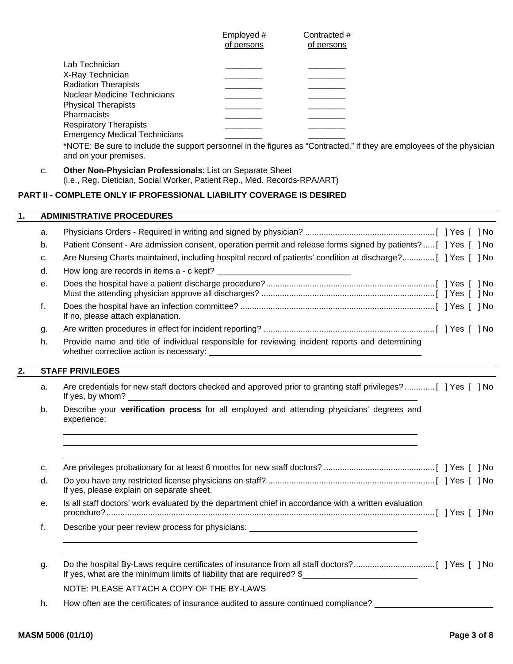|                                      | Employed #<br>of persons | Contracted #<br>of persons |
|--------------------------------------|--------------------------|----------------------------|
| Lab Technician                       |                          |                            |
| X-Ray Technician                     |                          |                            |
| <b>Radiation Therapists</b>          |                          |                            |
| Nuclear Medicine Technicians         |                          |                            |
| <b>Physical Therapists</b>           |                          |                            |
| <b>Pharmacists</b>                   |                          |                            |
| <b>Respiratory Therapists</b>        |                          |                            |
| <b>Emergency Medical Technicians</b> |                          |                            |

\*NOTE: Be sure to include the support personnel in the figures as "Contracted," if they are employees of the physician and on your premises.

 c. **Other Non-Physician Professionals**: List on Separate Sheet (i.e., Reg. Dietician, Social Worker, Patient Rep., Med. Records-RPA/ART)

#### **PART II - COMPLETE ONLY IF PROFESSIONAL LIABILITY COVERAGE IS DESIRED**

|    | <b>ADMINISTRATIVE PROCEDURES</b>                                                                               |
|----|----------------------------------------------------------------------------------------------------------------|
| a. |                                                                                                                |
| b. | Patient Consent - Are admission consent, operation permit and release forms signed by patients? [ ] Yes [ ] No |
| c. | Are Nursing Charts maintained, including hospital record of patients' condition at discharge? [ ] Yes [ ] No   |
| d. |                                                                                                                |
| е. |                                                                                                                |
|    | If no, please attach explanation.                                                                              |
| g. |                                                                                                                |

 h. Provide name and title of individual responsible for reviewing incident reports and determining whether corrective action is necessary:

## **2. STAFF PRIVILEGES**

- a. Are credentials for new staff doctors checked and approved prior to granting staff privileges? ............. [ ] Yes [ ] No If yes, by whom? \_
- b. Describe your **verification process** for all employed and attending physicians' degrees and experience:

| c. |                                                                                                      |  |  |
|----|------------------------------------------------------------------------------------------------------|--|--|
| d. | If yes, please explain on separate sheet.                                                            |  |  |
| е. | Is all staff doctors' work evaluated by the department chief in accordance with a written evaluation |  |  |
|    | Describe your peer review process for physicians: ______________________________                     |  |  |
|    |                                                                                                      |  |  |
| g. | If yes, what are the minimum limits of liability that are required? \$                               |  |  |
|    | NOTE: PLEASE ATTACH A COPY OF THE BY-LAWS                                                            |  |  |

h. How often are the certificates of insurance audited to assure continued compliance?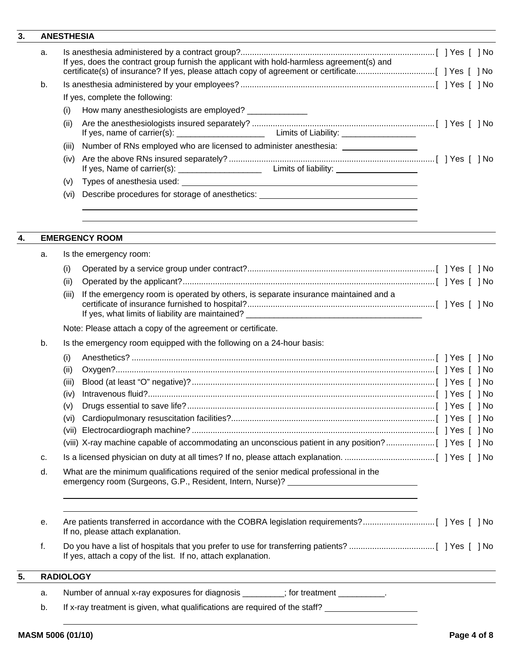# **3.**

| 3. |    | <b>ANESTHESIA</b>                                                                                                                                                           |                                                                                  |
|----|----|-----------------------------------------------------------------------------------------------------------------------------------------------------------------------------|----------------------------------------------------------------------------------|
|    | a. | If yes, does the contract group furnish the applicant with hold-harmless agreement(s) and                                                                                   |                                                                                  |
|    | b. |                                                                                                                                                                             |                                                                                  |
|    |    | If yes, complete the following:                                                                                                                                             |                                                                                  |
|    |    | How many anesthesiologists are employed? ______________<br>(i)                                                                                                              |                                                                                  |
|    |    | (ii)                                                                                                                                                                        |                                                                                  |
|    |    |                                                                                                                                                                             |                                                                                  |
|    |    | Number of RNs employed who are licensed to administer anesthesia: ______________<br>(iii)                                                                                   |                                                                                  |
|    |    | (iv)                                                                                                                                                                        |                                                                                  |
|    |    | (v)                                                                                                                                                                         |                                                                                  |
|    |    | Describe procedures for storage of anesthetics: ________________________________<br>(vi)                                                                                    |                                                                                  |
| 4. |    | <b>EMERGENCY ROOM</b>                                                                                                                                                       |                                                                                  |
|    | а. | Is the emergency room:                                                                                                                                                      |                                                                                  |
|    |    | (i)                                                                                                                                                                         |                                                                                  |
|    |    | (ii)                                                                                                                                                                        |                                                                                  |
|    |    | If the emergency room is operated by others, is separate insurance maintained and a<br>(iii)                                                                                |                                                                                  |
|    |    | Note: Please attach a copy of the agreement or certificate.                                                                                                                 |                                                                                  |
|    | b. | Is the emergency room equipped with the following on a 24-hour basis:                                                                                                       |                                                                                  |
|    |    | (i)                                                                                                                                                                         |                                                                                  |
|    |    | (ii)                                                                                                                                                                        |                                                                                  |
|    |    | (iii)                                                                                                                                                                       |                                                                                  |
|    |    | (iv)                                                                                                                                                                        |                                                                                  |
|    |    | (v)                                                                                                                                                                         |                                                                                  |
|    |    |                                                                                                                                                                             |                                                                                  |
|    |    |                                                                                                                                                                             |                                                                                  |
|    |    | (viii) X-ray machine capable of accommodating an unconscious patient in any position?[ ] Yes [ ] No                                                                         |                                                                                  |
|    | c. |                                                                                                                                                                             |                                                                                  |
|    | d. | What are the minimum qualifications required of the senior medical professional in the<br>emergency room (Surgeons, G.P., Resident, Intern, Nurse)? _______________________ |                                                                                  |
|    | е. | If no, please attach explanation.                                                                                                                                           |                                                                                  |
|    | f. | If yes, attach a copy of the list. If no, attach explanation.                                                                                                               | ,我们也不会有什么。""我们的人,我们也不会有什么?""我们的人,我们也不会有什么?""我们的人,我们也不会有什么?""我们的人,我们也不会有什么?""我们的人 |
| 5. |    | <b>RADIOLOGY</b>                                                                                                                                                            |                                                                                  |
|    | a. | Number of annual x-ray exposures for diagnosis ________; for treatment _________.                                                                                           |                                                                                  |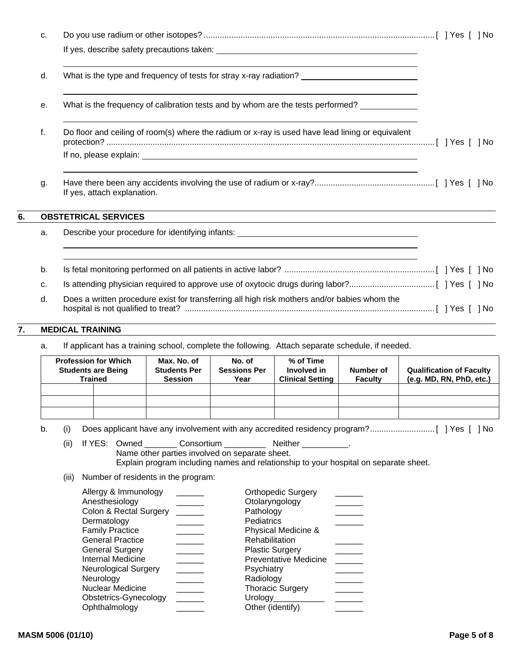|    | C. |                                                                                                  |  |
|----|----|--------------------------------------------------------------------------------------------------|--|
|    |    |                                                                                                  |  |
|    | d. | What is the type and frequency of tests for stray x-ray radiation?                               |  |
|    | е. | What is the frequency of calibration tests and by whom are the tests performed?                  |  |
|    | f. | Do floor and ceiling of room(s) where the radium or x-ray is used have lead lining or equivalent |  |
|    |    |                                                                                                  |  |
|    | g. | If yes, attach explanation.                                                                      |  |
| 6. |    | <b>OBSTETRICAL SERVICES</b>                                                                      |  |
|    | a. | Describe your procedure for identifying infants: _______________________________                 |  |
|    | b. |                                                                                                  |  |
|    | C. |                                                                                                  |  |
|    | d. | Does a written procedure exist for transferring all high risk mothers and/or babies whom the     |  |

## **7. MEDICAL TRAINING**

a. If applicant has a training school, complete the following. Attach separate schedule, if needed.

| <b>Profession for Which</b><br><b>Students are Being</b><br><b>Trained</b> | Max. No. of<br><b>Students Per</b><br><b>Session</b> | No. of<br><b>Sessions Per</b><br>Year | % of Time<br>Involved in<br><b>Clinical Setting</b> | Number of<br><b>Faculty</b> | <b>Qualification of Faculty</b><br>(e.g. MD, RN, PhD, etc.) |
|----------------------------------------------------------------------------|------------------------------------------------------|---------------------------------------|-----------------------------------------------------|-----------------------------|-------------------------------------------------------------|
|                                                                            |                                                      |                                       |                                                     |                             |                                                             |
|                                                                            |                                                      |                                       |                                                     |                             |                                                             |
|                                                                            |                                                      |                                       |                                                     |                             |                                                             |

b. (i) Does applicant have any involvement with any accredited residency program? ............................ [ ] Yes [ ] No

(ii) If YES: Owned \_\_\_\_\_\_\_\_ Consortium \_\_\_\_\_\_\_\_\_\_\_ Neither \_\_\_\_\_\_\_\_\_\_. Name other parties involved on separate sheet. Explain program including names and relationship to your hospital on separate sheet.

(iii) Number of residents in the program:

| Allergy & Immunology   | <b>Orthopedic Surgery</b>    |  |
|------------------------|------------------------------|--|
| Anesthesiology         | Otolaryngology               |  |
| Colon & Rectal Surgery | Pathology                    |  |
| Dermatology            | Pediatrics                   |  |
| <b>Family Practice</b> | Physical Medicine &          |  |
| General Practice       | Rehabilitation               |  |
| General Surgery        | <b>Plastic Surgery</b>       |  |
| Internal Medicine      | <b>Preventative Medicine</b> |  |
| Neurological Surgery   | Psychiatry                   |  |
| Neurology              | Radiology                    |  |
| Nuclear Medicine       | <b>Thoracic Surgery</b>      |  |
| Obstetrics-Gynecology  | Urology                      |  |
| Ophthalmology          | Other (identify)             |  |
|                        |                              |  |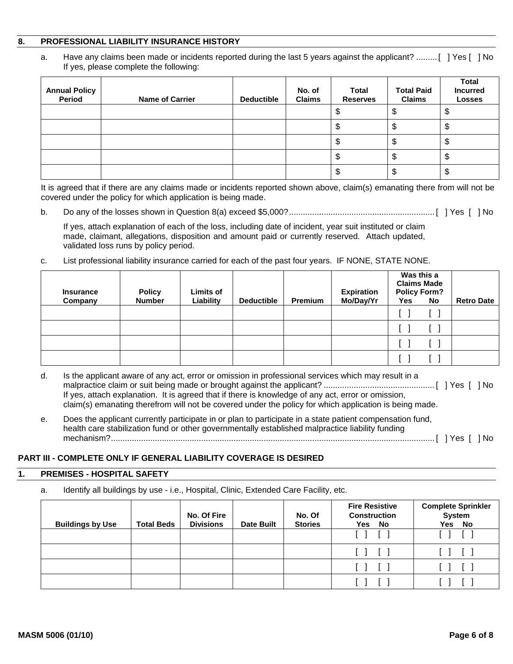#### **8. PROFESSIONAL LIABILITY INSURANCE HISTORY**

 a. Have any claims been made or incidents reported during the last 5 years against the applicant? ......... [ ] Yes [ ] No If yes, please complete the following:

| <b>Annual Policy</b><br>Period | <b>Name of Carrier</b> | <b>Deductible</b> | No. of<br><b>Claims</b> | <b>Total</b><br><b>Reserves</b> | <b>Total Paid</b><br><b>Claims</b> | <b>Total</b><br><b>Incurred</b><br><b>Losses</b> |
|--------------------------------|------------------------|-------------------|-------------------------|---------------------------------|------------------------------------|--------------------------------------------------|
|                                |                        |                   |                         |                                 | ง                                  | Ψ                                                |
|                                |                        |                   |                         | Ψ                               | Φ                                  | Ψ                                                |
|                                |                        |                   |                         |                                 | \$                                 | ۰Φ                                               |
|                                |                        |                   |                         | Φ                               | \$                                 | Φ                                                |
|                                |                        |                   |                         |                                 | \$                                 | Ψ                                                |

It is agreed that if there are any claims made or incidents reported shown above, claim(s) emanating there from will not be covered under the policy for which application is being made.

b. Do any of the losses shown in Question 8(a) exceed \$5,000? ............................................................... [ ] Yes [ ] No

If yes, attach explanation of each of the loss, including date of incident, year suit instituted or claim made, claimant, allegations, disposition and amount paid or currently reserved. Attach updated, validated loss runs by policy period.

c. List professional liability insurance carried for each of the past four years. IF NONE, STATE NONE.

| <b>Insurance</b><br>Company | <b>Policy</b><br><b>Number</b> | <b>Limits of</b><br>Liability | <b>Deductible</b> | Premium | <b>Expiration</b><br>Mo/Day/Yr | Was this a<br><b>Claims Made</b><br><b>Policy Form?</b><br>Yes | No | <b>Retro Date</b> |
|-----------------------------|--------------------------------|-------------------------------|-------------------|---------|--------------------------------|----------------------------------------------------------------|----|-------------------|
|                             |                                |                               |                   |         |                                |                                                                |    |                   |
|                             |                                |                               |                   |         |                                |                                                                |    |                   |
|                             |                                |                               |                   |         |                                |                                                                |    |                   |
|                             |                                |                               |                   |         |                                |                                                                |    |                   |

- d. Is the applicant aware of any act, error or omission in professional services which may result in a malpractice claim or suit being made or brought against the applicant? ................................................ [ ] Yes [ ] No If yes, attach explanation. It is agreed that if there is knowledge of any act, error or omission, claim(s) emanating therefrom will not be covered under the policy for which application is being made.
- e. Does the applicant currently participate in or plan to participate in a state patient compensation fund, health care stabilization fund or other governmentally established malpractice liability funding mechanism? ............................................................................................................................................ [ ] Yes [ ] No

## **PART III - COMPLETE ONLY IF GENERAL LIABILITY COVERAGE IS DESIRED**

#### **1. PREMISES - HOSPITAL SAFETY**

a. Identify all buildings by use - i.e., Hospital, Clinic, Extended Care Facility, etc.

| <b>Buildings by Use</b> | <b>Total Beds</b> | No. Of Fire<br><b>Divisions</b> | <b>Date Built</b> | No. Of<br><b>Stories</b> | <b>Fire Resistive</b><br><b>Construction</b><br>Yes No       | <b>Complete Sprinkler</b><br><b>System</b><br>Yes No |
|-------------------------|-------------------|---------------------------------|-------------------|--------------------------|--------------------------------------------------------------|------------------------------------------------------|
|                         |                   |                                 |                   |                          |                                                              |                                                      |
|                         |                   |                                 |                   |                          | $\begin{bmatrix} 1 & 1 \end{bmatrix}$                        | $\begin{bmatrix} 1 & 1 \end{bmatrix}$                |
|                         |                   |                                 |                   |                          | $\begin{array}{ccc} \square & \square & \square \end{array}$ |                                                      |
|                         |                   |                                 |                   |                          |                                                              |                                                      |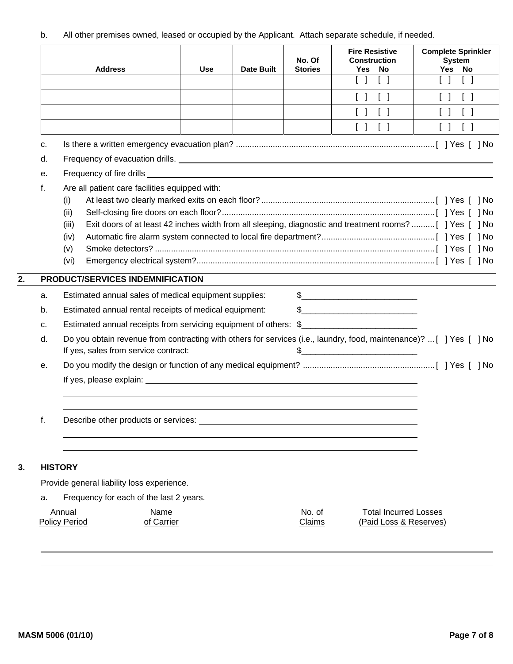b. All other premises owned, leased or occupied by the Applicant. Attach separate schedule, if needed.

|    | <b>Address</b>                                         |                    | <b>Use</b> | <b>Date Built</b> | No. Of<br><b>Stories</b> | <b>Fire Resistive</b><br><b>Construction</b><br>Yes<br>No<br>$\begin{bmatrix} \end{bmatrix}$                                                                                                                                                                                                                                                                        | <b>Complete Sprinkler</b><br><b>System</b><br>Yes No<br>$\begin{bmatrix} 1 \end{bmatrix}$                          |
|----|--------------------------------------------------------|--------------------|------------|-------------------|--------------------------|---------------------------------------------------------------------------------------------------------------------------------------------------------------------------------------------------------------------------------------------------------------------------------------------------------------------------------------------------------------------|--------------------------------------------------------------------------------------------------------------------|
|    |                                                        |                    |            |                   |                          | $\begin{bmatrix} \end{bmatrix}$<br>$\begin{bmatrix} \end{bmatrix}$                                                                                                                                                                                                                                                                                                  | $\Box$<br>$\Box$                                                                                                   |
|    |                                                        |                    |            |                   |                          | $\begin{bmatrix} \end{bmatrix}$<br>$\begin{bmatrix} 1 \end{bmatrix}$                                                                                                                                                                                                                                                                                                | $\begin{bmatrix} \end{bmatrix}$<br>$\Box$                                                                          |
|    |                                                        |                    |            |                   |                          | $\begin{bmatrix} \end{bmatrix}$<br>$\begin{bmatrix} 1 \end{bmatrix}$                                                                                                                                                                                                                                                                                                | $\begin{bmatrix} 1 \end{bmatrix}$<br>$\begin{bmatrix} 1 \end{bmatrix}$                                             |
| c. |                                                        |                    |            |                   |                          |                                                                                                                                                                                                                                                                                                                                                                     |                                                                                                                    |
| d. |                                                        |                    |            |                   |                          |                                                                                                                                                                                                                                                                                                                                                                     |                                                                                                                    |
| е. |                                                        |                    |            |                   |                          |                                                                                                                                                                                                                                                                                                                                                                     |                                                                                                                    |
| f. | Are all patient care facilities equipped with:         |                    |            |                   |                          |                                                                                                                                                                                                                                                                                                                                                                     |                                                                                                                    |
|    | (i)                                                    |                    |            |                   |                          |                                                                                                                                                                                                                                                                                                                                                                     |                                                                                                                    |
|    | (ii)                                                   |                    |            |                   |                          |                                                                                                                                                                                                                                                                                                                                                                     |                                                                                                                    |
|    | (iii)                                                  |                    |            |                   |                          |                                                                                                                                                                                                                                                                                                                                                                     | Exit doors of at least 42 inches width from all sleeping, diagnostic and treatment rooms?[ ] Yes [ ] No            |
|    | (iv)                                                   |                    |            |                   |                          |                                                                                                                                                                                                                                                                                                                                                                     |                                                                                                                    |
|    | (v)                                                    |                    |            |                   |                          |                                                                                                                                                                                                                                                                                                                                                                     |                                                                                                                    |
|    | (vi)                                                   |                    |            |                   |                          |                                                                                                                                                                                                                                                                                                                                                                     |                                                                                                                    |
|    | PRODUCT/SERVICES INDEMNIFICATION                       |                    |            |                   |                          |                                                                                                                                                                                                                                                                                                                                                                     |                                                                                                                    |
| a. | Estimated annual sales of medical equipment supplies:  |                    |            |                   |                          | $\begin{picture}(20,10) \put(0,0){\vector(1,0){100}} \put(15,0){\vector(1,0){100}} \put(15,0){\vector(1,0){100}} \put(15,0){\vector(1,0){100}} \put(15,0){\vector(1,0){100}} \put(15,0){\vector(1,0){100}} \put(15,0){\vector(1,0){100}} \put(15,0){\vector(1,0){100}} \put(15,0){\vector(1,0){100}} \put(15,0){\vector(1,0){100}} \put(15,0){\vector(1,0){100}} \$ |                                                                                                                    |
| b. | Estimated annual rental receipts of medical equipment: |                    |            |                   |                          | $\frac{1}{2}$                                                                                                                                                                                                                                                                                                                                                       |                                                                                                                    |
| c. |                                                        |                    |            |                   |                          | Estimated annual receipts from servicing equipment of others: \$__________________                                                                                                                                                                                                                                                                                  |                                                                                                                    |
| d. |                                                        |                    |            |                   |                          |                                                                                                                                                                                                                                                                                                                                                                     | Do you obtain revenue from contracting with others for services (i.e., laundry, food, maintenance)? [ ] Yes [ ] No |
|    | If yes, sales from service contract:                   |                    |            |                   |                          | $\frac{1}{2}$                                                                                                                                                                                                                                                                                                                                                       |                                                                                                                    |
| е. |                                                        |                    |            |                   |                          |                                                                                                                                                                                                                                                                                                                                                                     |                                                                                                                    |
|    |                                                        |                    |            |                   |                          |                                                                                                                                                                                                                                                                                                                                                                     |                                                                                                                    |
| f. | Describe other products or services:                   |                    |            |                   |                          |                                                                                                                                                                                                                                                                                                                                                                     |                                                                                                                    |
|    |                                                        |                    |            |                   |                          |                                                                                                                                                                                                                                                                                                                                                                     |                                                                                                                    |
|    | <b>HISTORY</b>                                         |                    |            |                   |                          |                                                                                                                                                                                                                                                                                                                                                                     |                                                                                                                    |
|    | Provide general liability loss experience.             |                    |            |                   |                          |                                                                                                                                                                                                                                                                                                                                                                     |                                                                                                                    |
| a. | Frequency for each of the last 2 years.                |                    |            |                   |                          |                                                                                                                                                                                                                                                                                                                                                                     |                                                                                                                    |
|    | Annual<br><b>Policy Period</b>                         | Name<br>of Carrier |            |                   | No. of<br><b>Claims</b>  | <b>Total Incurred Losses</b><br>(Paid Loss & Reserves)                                                                                                                                                                                                                                                                                                              |                                                                                                                    |
|    |                                                        |                    |            |                   |                          |                                                                                                                                                                                                                                                                                                                                                                     |                                                                                                                    |